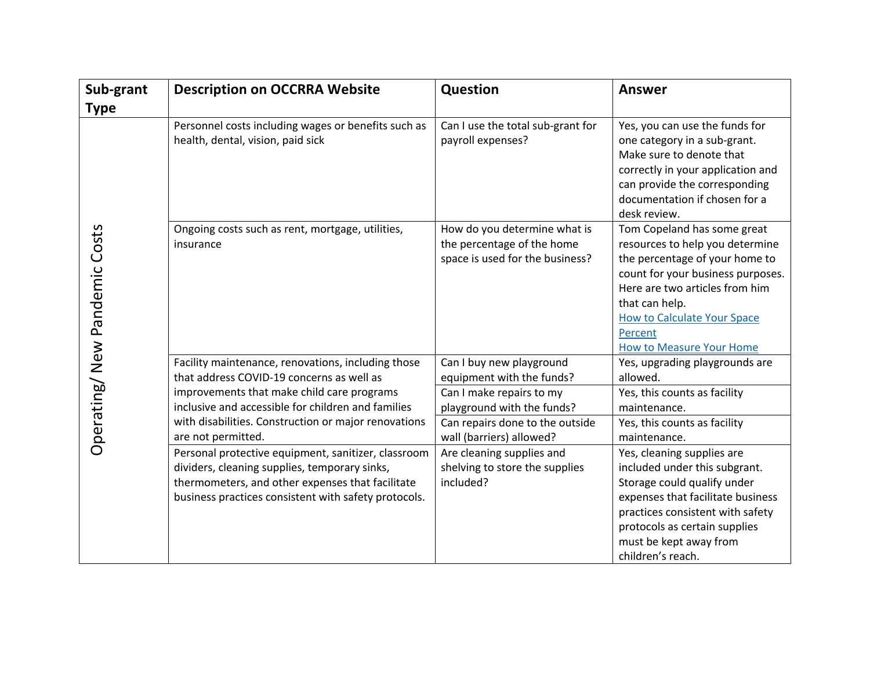| Sub-grant                    | <b>Description on OCCRRA Website</b>                                                                                                                                                                             | Question                                                                                      | <b>Answer</b>                                                                                                                                                                                                                                                                 |
|------------------------------|------------------------------------------------------------------------------------------------------------------------------------------------------------------------------------------------------------------|-----------------------------------------------------------------------------------------------|-------------------------------------------------------------------------------------------------------------------------------------------------------------------------------------------------------------------------------------------------------------------------------|
| <b>Type</b>                  |                                                                                                                                                                                                                  |                                                                                               |                                                                                                                                                                                                                                                                               |
| Operating/New Pandemic Costs | Personnel costs including wages or benefits such as<br>health, dental, vision, paid sick                                                                                                                         | Can I use the total sub-grant for<br>payroll expenses?                                        | Yes, you can use the funds for<br>one category in a sub-grant.<br>Make sure to denote that<br>correctly in your application and<br>can provide the corresponding<br>documentation if chosen for a<br>desk review.                                                             |
|                              | Ongoing costs such as rent, mortgage, utilities,<br>insurance                                                                                                                                                    | How do you determine what is<br>the percentage of the home<br>space is used for the business? | Tom Copeland has some great<br>resources to help you determine<br>the percentage of your home to<br>count for your business purposes.<br>Here are two articles from him<br>that can help.<br><b>How to Calculate Your Space</b><br>Percent<br><b>How to Measure Your Home</b> |
|                              | Facility maintenance, renovations, including those<br>that address COVID-19 concerns as well as                                                                                                                  | Can I buy new playground<br>equipment with the funds?                                         | Yes, upgrading playgrounds are<br>allowed.                                                                                                                                                                                                                                    |
|                              | improvements that make child care programs<br>inclusive and accessible for children and families                                                                                                                 | Can I make repairs to my<br>playground with the funds?                                        | Yes, this counts as facility<br>maintenance.                                                                                                                                                                                                                                  |
|                              | with disabilities. Construction or major renovations<br>are not permitted.                                                                                                                                       | Can repairs done to the outside<br>wall (barriers) allowed?                                   | Yes, this counts as facility<br>maintenance.                                                                                                                                                                                                                                  |
|                              | Personal protective equipment, sanitizer, classroom<br>dividers, cleaning supplies, temporary sinks,<br>thermometers, and other expenses that facilitate<br>business practices consistent with safety protocols. | Are cleaning supplies and<br>shelving to store the supplies<br>included?                      | Yes, cleaning supplies are<br>included under this subgrant.<br>Storage could qualify under<br>expenses that facilitate business<br>practices consistent with safety<br>protocols as certain supplies<br>must be kept away from<br>children's reach.                           |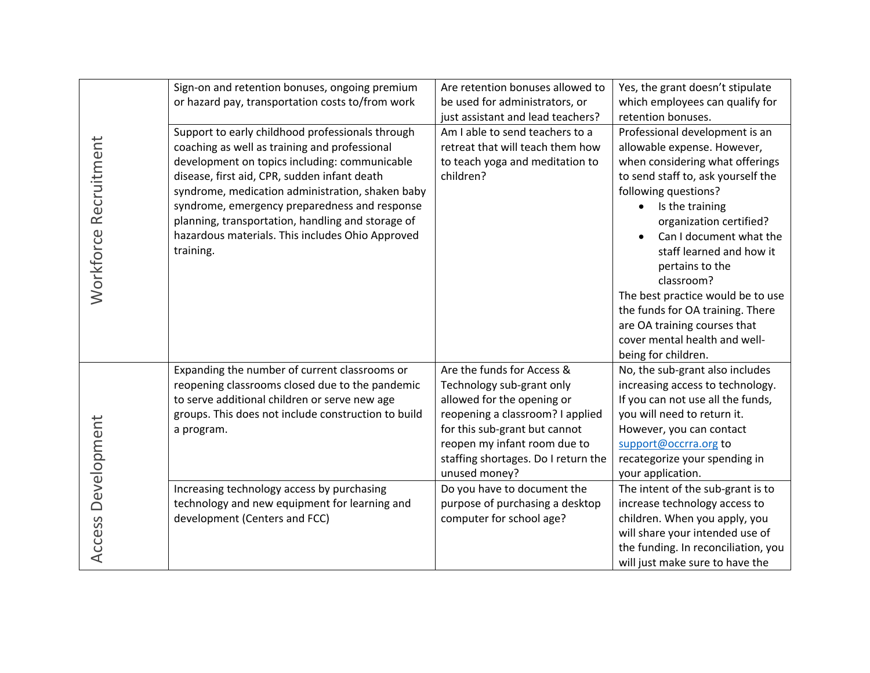| Workforce Recruitment | Sign-on and retention bonuses, ongoing premium<br>or hazard pay, transportation costs to/from work<br>Support to early childhood professionals through<br>coaching as well as training and professional<br>development on topics including: communicable<br>disease, first aid, CPR, sudden infant death<br>syndrome, medication administration, shaken baby<br>syndrome, emergency preparedness and response<br>planning, transportation, handling and storage of<br>hazardous materials. This includes Ohio Approved<br>training. | Are retention bonuses allowed to<br>be used for administrators, or<br>just assistant and lead teachers?<br>Am I able to send teachers to a<br>retreat that will teach them how<br>to teach yoga and meditation to<br>children?                     | Yes, the grant doesn't stipulate<br>which employees can qualify for<br>retention bonuses.<br>Professional development is an<br>allowable expense. However,<br>when considering what offerings<br>to send staff to, ask yourself the<br>following questions?<br>Is the training<br>organization certified?<br>Can I document what the<br>staff learned and how it<br>pertains to the<br>classroom?<br>The best practice would be to use<br>the funds for OA training. There |
|-----------------------|-------------------------------------------------------------------------------------------------------------------------------------------------------------------------------------------------------------------------------------------------------------------------------------------------------------------------------------------------------------------------------------------------------------------------------------------------------------------------------------------------------------------------------------|----------------------------------------------------------------------------------------------------------------------------------------------------------------------------------------------------------------------------------------------------|----------------------------------------------------------------------------------------------------------------------------------------------------------------------------------------------------------------------------------------------------------------------------------------------------------------------------------------------------------------------------------------------------------------------------------------------------------------------------|
|                       |                                                                                                                                                                                                                                                                                                                                                                                                                                                                                                                                     |                                                                                                                                                                                                                                                    | are OA training courses that<br>cover mental health and well-<br>being for children.                                                                                                                                                                                                                                                                                                                                                                                       |
| Development           | Expanding the number of current classrooms or<br>reopening classrooms closed due to the pandemic<br>to serve additional children or serve new age<br>groups. This does not include construction to build<br>a program.                                                                                                                                                                                                                                                                                                              | Are the funds for Access &<br>Technology sub-grant only<br>allowed for the opening or<br>reopening a classroom? I applied<br>for this sub-grant but cannot<br>reopen my infant room due to<br>staffing shortages. Do I return the<br>unused money? | No, the sub-grant also includes<br>increasing access to technology.<br>If you can not use all the funds,<br>you will need to return it.<br>However, you can contact<br>support@occrra.org to<br>recategorize your spending in<br>your application.                                                                                                                                                                                                                         |
| Access                | Increasing technology access by purchasing<br>technology and new equipment for learning and<br>development (Centers and FCC)                                                                                                                                                                                                                                                                                                                                                                                                        | Do you have to document the<br>purpose of purchasing a desktop<br>computer for school age?                                                                                                                                                         | The intent of the sub-grant is to<br>increase technology access to<br>children. When you apply, you<br>will share your intended use of<br>the funding. In reconciliation, you<br>will just make sure to have the                                                                                                                                                                                                                                                           |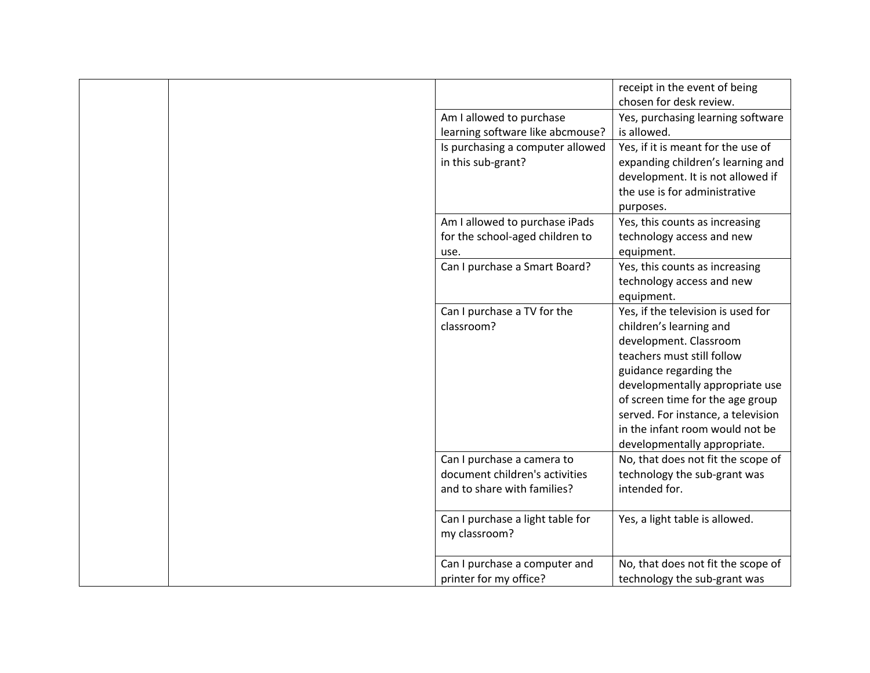|                                  | receipt in the event of being<br>chosen for desk review. |
|----------------------------------|----------------------------------------------------------|
| Am I allowed to purchase         | Yes, purchasing learning software                        |
| learning software like abcmouse? | is allowed.                                              |
| Is purchasing a computer allowed | Yes, if it is meant for the use of                       |
| in this sub-grant?               | expanding children's learning and                        |
|                                  | development. It is not allowed if                        |
|                                  | the use is for administrative                            |
|                                  | purposes.                                                |
| Am I allowed to purchase iPads   | Yes, this counts as increasing                           |
| for the school-aged children to  | technology access and new                                |
| use.                             | equipment.                                               |
| Can I purchase a Smart Board?    | Yes, this counts as increasing                           |
|                                  | technology access and new                                |
|                                  | equipment.                                               |
| Can I purchase a TV for the      | Yes, if the television is used for                       |
| classroom?                       | children's learning and                                  |
|                                  | development. Classroom                                   |
|                                  | teachers must still follow                               |
|                                  | guidance regarding the                                   |
|                                  | developmentally appropriate use                          |
|                                  | of screen time for the age group                         |
|                                  | served. For instance, a television                       |
|                                  | in the infant room would not be                          |
|                                  | developmentally appropriate.                             |
| Can I purchase a camera to       | No, that does not fit the scope of                       |
| document children's activities   | technology the sub-grant was                             |
| and to share with families?      | intended for.                                            |
| Can I purchase a light table for | Yes, a light table is allowed.                           |
| my classroom?                    |                                                          |
|                                  |                                                          |
| Can I purchase a computer and    | No, that does not fit the scope of                       |
| printer for my office?           | technology the sub-grant was                             |